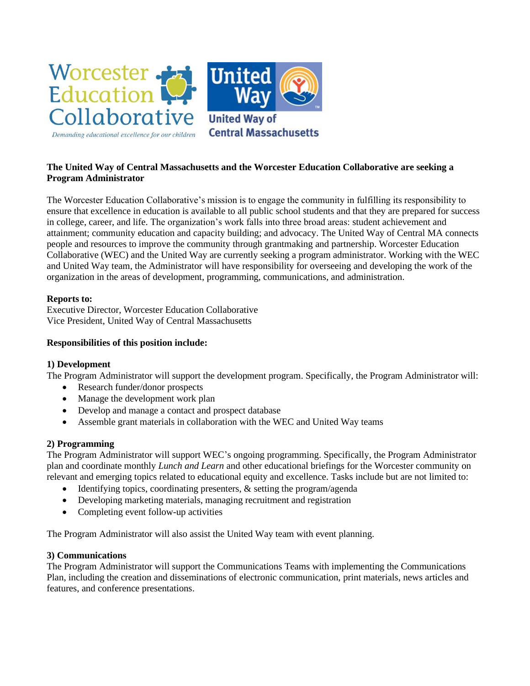

# **The United Way of Central Massachusetts and the Worcester Education Collaborative are seeking a Program Administrator**

The Worcester Education Collaborative's mission is to engage the community in fulfilling its responsibility to ensure that excellence in education is available to all public school students and that they are prepared for success in college, career, and life. The organization's work falls into three broad areas: student achievement and attainment; community education and capacity building; and advocacy. The United Way of Central MA connects people and resources to improve the community through grantmaking and partnership. Worcester Education Collaborative (WEC) and the United Way are currently seeking a program administrator. Working with the WEC and United Way team, the Administrator will have responsibility for overseeing and developing the work of the organization in the areas of development, programming, communications, and administration.

## **Reports to:**

Executive Director, Worcester Education Collaborative Vice President, United Way of Central Massachusetts

## **Responsibilities of this position include:**

## **1) Development**

The Program Administrator will support the development program. Specifically, the Program Administrator will:

- Research funder/donor prospects
- Manage the development work plan
- Develop and manage a contact and prospect database
- Assemble grant materials in collaboration with the WEC and United Way teams

## **2) Programming**

The Program Administrator will support WEC's ongoing programming. Specifically, the Program Administrator plan and coordinate monthly *Lunch and Learn* and other educational briefings for the Worcester community on relevant and emerging topics related to educational equity and excellence. Tasks include but are not limited to:

- Identifying topics, coordinating presenters, & setting the program/agenda
- Developing marketing materials, managing recruitment and registration
- Completing event follow-up activities

The Program Administrator will also assist the United Way team with event planning.

## **3) Communications**

The Program Administrator will support the Communications Teams with implementing the Communications Plan, including the creation and disseminations of electronic communication, print materials, news articles and features, and conference presentations.